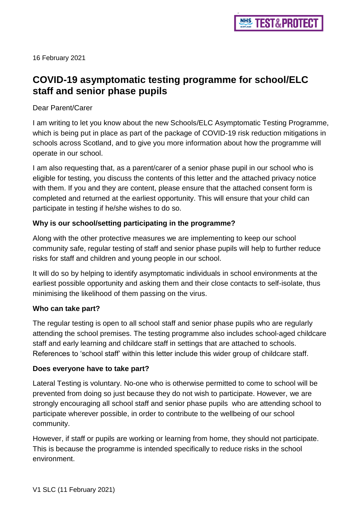16 February 2021

# **COVID-19 asymptomatic testing programme for school/ELC staff and senior phase pupils**

#### Dear Parent/Carer

I am writing to let you know about the new Schools/ELC Asymptomatic Testing Programme, which is being put in place as part of the package of COVID-19 risk reduction mitigations in schools across Scotland, and to give you more information about how the programme will operate in our school.

I am also requesting that, as a parent/carer of a senior phase pupil in our school who is eligible for testing, you discuss the contents of this letter and the attached privacy notice with them. If you and they are content, please ensure that the attached consent form is completed and returned at the earliest opportunity. This will ensure that your child can participate in testing if he/she wishes to do so.

# **Why is our school/setting participating in the programme?**

Along with the other protective measures we are implementing to keep our school community safe, regular testing of staff and senior phase pupils will help to further reduce risks for staff and children and young people in our school.

It will do so by helping to identify asymptomatic individuals in school environments at the earliest possible opportunity and asking them and their close contacts to self-isolate, thus minimising the likelihood of them passing on the virus.

#### **Who can take part?**

The regular testing is open to all school staff and senior phase pupils who are regularly attending the school premises. The testing programme also includes school-aged childcare staff and early learning and childcare staff in settings that are attached to schools. References to 'school staff' within this letter include this wider group of childcare staff.

#### **Does everyone have to take part?**

Lateral Testing is voluntary. No-one who is otherwise permitted to come to school will be prevented from doing so just because they do not wish to participate. However, we are strongly encouraging all school staff and senior phase pupils who are attending school to participate wherever possible, in order to contribute to the wellbeing of our school community.

However, if staff or pupils are working or learning from home, they should not participate. This is because the programme is intended specifically to reduce risks in the school environment.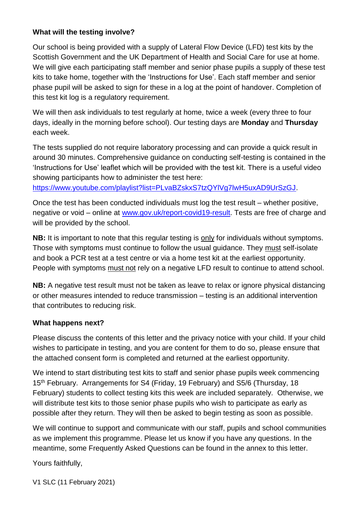# **What will the testing involve?**

Our school is being provided with a supply of Lateral Flow Device (LFD) test kits by the Scottish Government and the UK Department of Health and Social Care for use at home. We will give each participating staff member and senior phase pupils a supply of these test kits to take home, together with the 'Instructions for Use'. Each staff member and senior phase pupil will be asked to sign for these in a log at the point of handover. Completion of this test kit log is a regulatory requirement.

We will then ask individuals to test regularly at home, twice a week (every three to four days, ideally in the morning before school). Our testing days are **Monday** and **Thursday**  each week.

The tests supplied do not require laboratory processing and can provide a quick result in around 30 minutes. Comprehensive guidance on conducting self-testing is contained in the 'Instructions for Use' leaflet which will be provided with the test kit. There is a useful video showing participants how to administer the test here:

[https://www.youtube.com/playlist?list=PLvaBZskxS7tzQYlVg7lwH5uxAD9UrSzGJ.](https://www.youtube.com/playlist?list=PLvaBZskxS7tzQYlVg7lwH5uxAD9UrSzGJ)

Once the test has been conducted individuals must log the test result – whether positive, negative or void – online at [www.gov.uk/report-covid19-result.](http://www.gov.uk/report-covid19-result) Tests are free of charge and will be provided by the school.

**NB:** It is important to note that this regular testing is only for individuals without symptoms. Those with symptoms must continue to follow the usual guidance. They must self-isolate and book a PCR test at a test centre or via a home test kit at the earliest opportunity. People with symptoms must not rely on a negative LFD result to continue to attend school.

**NB:** A negative test result must not be taken as leave to relax or ignore physical distancing or other measures intended to reduce transmission – testing is an additional intervention that contributes to reducing risk.

#### **What happens next?**

Please discuss the contents of this letter and the privacy notice with your child. If your child wishes to participate in testing, and you are content for them to do so, please ensure that the attached consent form is completed and returned at the earliest opportunity.

We intend to start distributing test kits to staff and senior phase pupils week commencing 15<sup>th</sup> February. Arrangements for S4 (Friday, 19 February) and S5/6 (Thursday, 18 February) students to collect testing kits this week are included separately. Otherwise, we will distribute test kits to those senior phase pupils who wish to participate as early as possible after they return. They will then be asked to begin testing as soon as possible.

We will continue to support and communicate with our staff, pupils and school communities as we implement this programme. Please let us know if you have any questions. In the meantime, some Frequently Asked Questions can be found in the annex to this letter.

Yours faithfully,

V1 SLC (11 February 2021)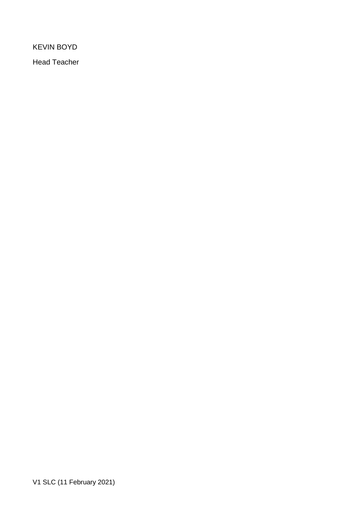KEVIN BOYD

Head Teacher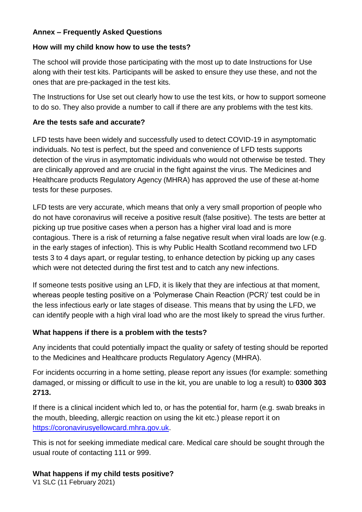### **Annex – Frequently Asked Questions**

### **How will my child know how to use the tests?**

The school will provide those participating with the most up to date Instructions for Use along with their test kits. Participants will be asked to ensure they use these, and not the ones that are pre-packaged in the test kits.

The Instructions for Use set out clearly how to use the test kits, or how to support someone to do so. They also provide a number to call if there are any problems with the test kits.

# **Are the tests safe and accurate?**

LFD tests have been widely and successfully used to detect COVID-19 in asymptomatic individuals. No test is perfect, but the speed and convenience of LFD tests supports detection of the virus in asymptomatic individuals who would not otherwise be tested. They are clinically approved and are crucial in the fight against the virus. The Medicines and Healthcare products Regulatory Agency (MHRA) has approved the use of these at-home tests for these purposes.

LFD tests are very accurate, which means that only a very small proportion of people who do not have coronavirus will receive a positive result (false positive). The tests are better at picking up true positive cases when a person has a higher viral load and is more contagious. There is a risk of returning a false negative result when viral loads are low (e.g. in the early stages of infection). This is why Public Health Scotland recommend two LFD tests 3 to 4 days apart, or regular testing, to enhance detection by picking up any cases which were not detected during the first test and to catch any new infections.

If someone tests positive using an LFD, it is likely that they are infectious at that moment, whereas people testing positive on a 'Polymerase Chain Reaction (PCR)' test could be in the less infectious early or late stages of disease. This means that by using the LFD, we can identify people with a high viral load who are the most likely to spread the virus further.

# **What happens if there is a problem with the tests?**

Any incidents that could potentially impact the quality or safety of testing should be reported to the Medicines and Healthcare products Regulatory Agency (MHRA).

For incidents occurring in a home setting, please report any issues (for example: something damaged, or missing or difficult to use in the kit, you are unable to log a result) to **0300 303 2713.**

If there is a clinical incident which led to, or has the potential for, harm (e.g. swab breaks in the mouth, bleeding, allergic reaction on using the kit etc.) please report it on [https://coronavirusyellowcard.mhra.gov.uk.](https://coronavirusyellowcard.mhra.gov.uk/)

This is not for seeking immediate medical care. Medical care should be sought through the usual route of contacting 111 or 999.

# **What happens if my child tests positive?**

V1 SLC (11 February 2021)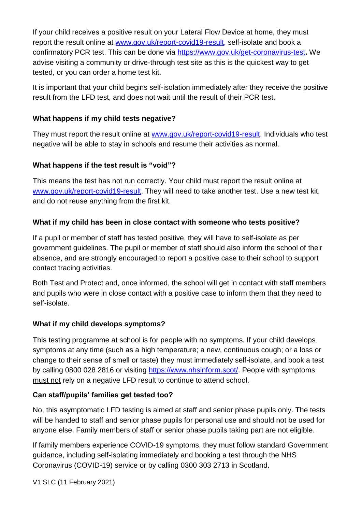If your child receives a positive result on your Lateral Flow Device at home, they must report the result online at [www.gov.uk/report-covid19-result,](http://www.gov.uk/report-covid19-result) self-isolate and book a confirmatory PCR test. This can be done via<https://www.gov.uk/get-coronavirus-test>**.** We advise visiting a community or drive-through test site as this is the quickest way to get tested, or you can order a home test kit.

It is important that your child begins self-isolation immediately after they receive the positive result from the LFD test, and does not wait until the result of their PCR test.

### **What happens if my child tests negative?**

They must report the result online at [www.gov.uk/report-covid19-result.](http://www.gov.uk/report-covid19-result) Individuals who test negative will be able to stay in schools and resume their activities as normal.

# **What happens if the test result is "void"?**

This means the test has not run correctly. Your child must report the result online at [www.gov.uk/report-covid19-result.](http://www.gov.uk/report-covid19-result) They will need to take another test. Use a new test kit, and do not reuse anything from the first kit.

# **What if my child has been in close contact with someone who tests positive?**

If a pupil or member of staff has tested positive, they will have to self-isolate as per government guidelines. The pupil or member of staff should also inform the school of their absence, and are strongly encouraged to report a positive case to their school to support contact tracing activities.

Both Test and Protect and, once informed, the school will get in contact with staff members and pupils who were in close contact with a positive case to inform them that they need to self-isolate.

# **What if my child develops symptoms?**

This testing programme at school is for people with no symptoms. If your child develops symptoms at any time (such as a high temperature; a new, continuous cough; or a loss or change to their sense of smell or taste) they must immediately self-isolate, and book a test by calling 0800 028 2816 or visiting [https://www.nhsinform.scot/.](https://www.nhsinform.scot/) People with symptoms must not rely on a negative LFD result to continue to attend school.

# **Can staff/pupils' families get tested too?**

No, this asymptomatic LFD testing is aimed at staff and senior phase pupils only. The tests will be handed to staff and senior phase pupils for personal use and should not be used for anyone else. Family members of staff or senior phase pupils taking part are not eligible.

If family members experience COVID-19 symptoms, they must follow standard Government guidance, including self-isolating immediately and booking a test through the NHS Coronavirus (COVID-19) service or by calling 0300 303 2713 in Scotland.